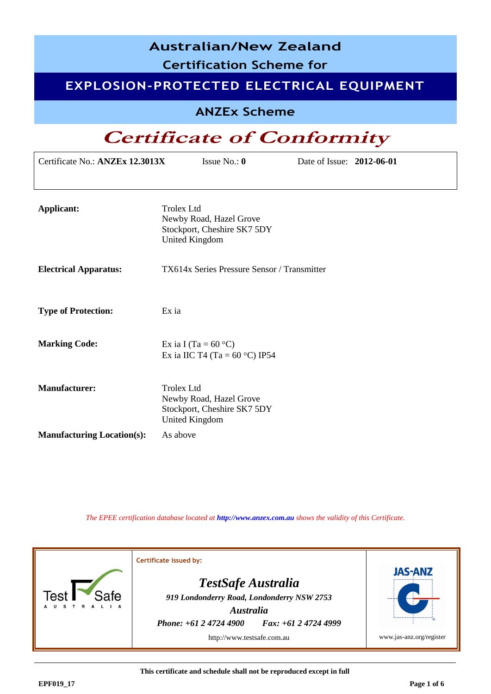| <b>Australian/New Zealand</b><br><b>Certification Scheme for</b> |                                                                                                      |  |  |  |
|------------------------------------------------------------------|------------------------------------------------------------------------------------------------------|--|--|--|
|                                                                  | EXPLOSION-PROTECTED ELECTRICAL EQUIPMENT                                                             |  |  |  |
|                                                                  | <b>ANZEx Scheme</b>                                                                                  |  |  |  |
|                                                                  | <b>Certificate of Conformity</b>                                                                     |  |  |  |
| Certificate No.: ANZEx 12.3013X                                  | Issue No.: $0$<br>Date of Issue: 2012-06-01                                                          |  |  |  |
|                                                                  |                                                                                                      |  |  |  |
| <b>Applicant:</b>                                                | <b>Trolex Ltd</b><br>Newby Road, Hazel Grove<br>Stockport, Cheshire SK7 5DY<br><b>United Kingdom</b> |  |  |  |
| <b>Electrical Apparatus:</b>                                     | TX614x Series Pressure Sensor / Transmitter                                                          |  |  |  |
| <b>Type of Protection:</b>                                       | Ex ia                                                                                                |  |  |  |
| <b>Marking Code:</b>                                             | Ex ia I (Ta = $60^{\circ}$ C)<br>Ex ia IIC T4 (Ta = $60^{\circ}$ C) IP54                             |  |  |  |
| <b>Manufacturer:</b>                                             | <b>Trolex Ltd</b><br>Newby Road, Hazel Grove<br>Stockport, Cheshire SK7 5DY<br><b>United Kingdom</b> |  |  |  |
| <b>Manufacturing Location(s):</b>                                | As above                                                                                             |  |  |  |

*The EPEE certification database located at [http://www.anzex.com.au](http://www.anzex.com.au/) shows the validity of this Certificate.*



**This certificate and schedule shall not be reproduced except in full**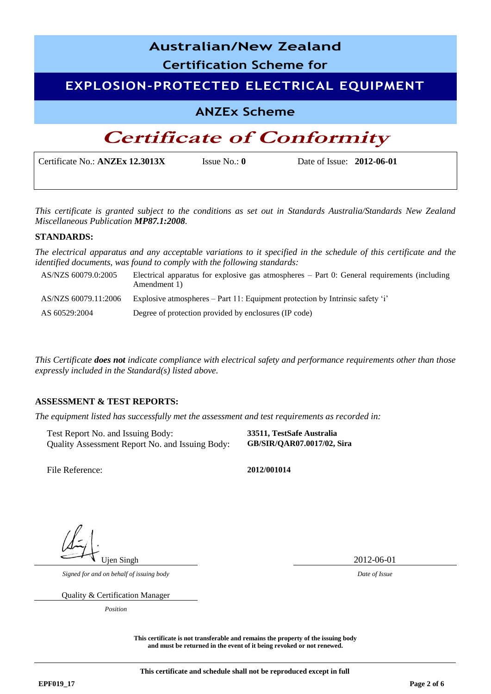| <b>Australian/New Zealand</b><br><b>Certification Scheme for</b> |                         |                           |  |  |
|------------------------------------------------------------------|-------------------------|---------------------------|--|--|
| EXPLOSION-PROTECTED ELECTRICAL EQUIPMENT                         |                         |                           |  |  |
| <b>ANZEx Scheme</b>                                              |                         |                           |  |  |
| <b>Certificate of Conformity</b>                                 |                         |                           |  |  |
| Certificate No.: ANZEx 12.3013X                                  | Issue No.: $\mathbf{0}$ | Date of Issue: 2012-06-01 |  |  |

*This certificate is granted subject to the conditions as set out in Standards Australia/Standards New Zealand Miscellaneous Publication MP87.1:2008.*

#### **STANDARDS:**

*The electrical apparatus and any acceptable variations to it specified in the schedule of this certificate and the identified documents, was found to comply with the following standards:* 

| AS/NZS 60079.0:2005  | Electrical apparatus for explosive gas atmospheres $-$ Part 0: General requirements (including<br>Amendment 1) |
|----------------------|----------------------------------------------------------------------------------------------------------------|
| AS/NZS 60079.11:2006 | Explosive atmospheres – Part 11: Equipment protection by Intrinsic safety 'i'                                  |
| AS 60529:2004        | Degree of protection provided by enclosures (IP code)                                                          |

*This Certificate does not indicate compliance with electrical safety and performance requirements other than those expressly included in the Standard(s) listed above.*

#### **ASSESSMENT & TEST REPORTS:**

*The equipment listed has successfully met the assessment and test requirements as recorded in:* 

Test Report No. and Issuing Body: **33511, TestSafe Australia** Quality Assessment Report No. and Issuing Body: **GB/SIR/QAR07.0017/02, Sira**

File Reference: **2012/001014**

Ujen Singh 2012-06-01

*Signed for and on behalf of issuing body Date of Issue*

Quality & Certification Manager

*Position*

**This certificate is not transferable and remains the property of the issuing body and must be returned in the event of it being revoked or not renewed.**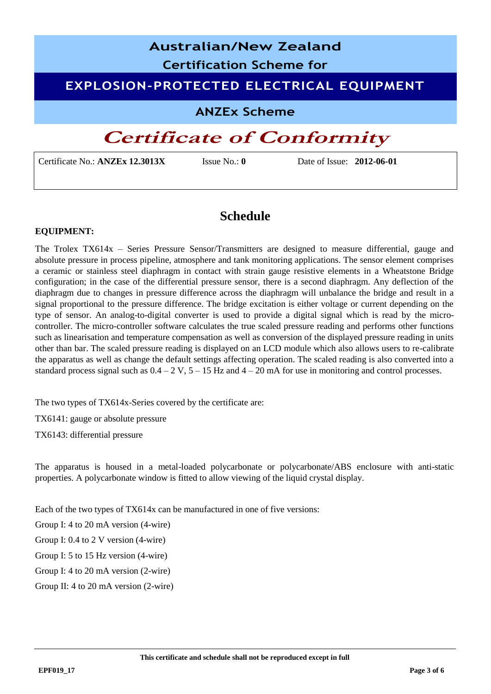# **Australian/New Zealand Certification Scheme for EXPLOSION-PROTECTED ELECTRICAL EQUIPMENT ANZEx Scheme**

## **Certificate of Conformity**

Certificate No.: **ANZEx 12.3013X** Issue No.: **0** Date of Issue: **2012-06-01**

### **Schedule**

### **EQUIPMENT:**

The Trolex TX614x – Series Pressure Sensor/Transmitters are designed to measure differential, gauge and absolute pressure in process pipeline, atmosphere and tank monitoring applications. The sensor element comprises a ceramic or stainless steel diaphragm in contact with strain gauge resistive elements in a Wheatstone Bridge configuration; in the case of the differential pressure sensor, there is a second diaphragm. Any deflection of the diaphragm due to changes in pressure difference across the diaphragm will unbalance the bridge and result in a signal proportional to the pressure difference. The bridge excitation is either voltage or current depending on the type of sensor. An analog-to-digital converter is used to provide a digital signal which is read by the microcontroller. The micro-controller software calculates the true scaled pressure reading and performs other functions such as linearisation and temperature compensation as well as conversion of the displayed pressure reading in units other than bar. The scaled pressure reading is displayed on an LCD module which also allows users to re-calibrate the apparatus as well as change the default settings affecting operation. The scaled reading is also converted into a standard process signal such as  $0.4 - 2$  V,  $5 - 15$  Hz and  $4 - 20$  mA for use in monitoring and control processes.

The two types of TX614x-Series covered by the certificate are:

TX6141: gauge or absolute pressure

TX6143: differential pressure

The apparatus is housed in a metal-loaded polycarbonate or polycarbonate/ABS enclosure with anti-static properties. A polycarbonate window is fitted to allow viewing of the liquid crystal display.

Each of the two types of TX614x can be manufactured in one of five versions:

Group I: 4 to 20 mA version (4-wire)

Group I: 0.4 to 2 V version (4-wire)

Group I: 5 to 15 Hz version (4-wire)

Group I: 4 to 20 mA version (2-wire)

Group II: 4 to 20 mA version (2-wire)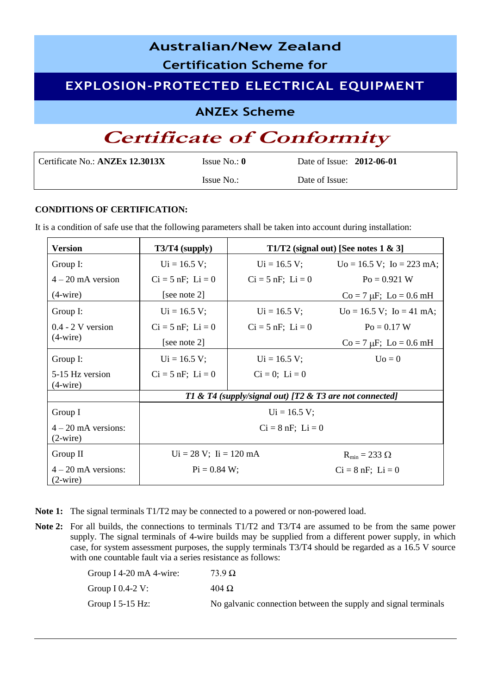| <b>Australian/New Zealand</b>                   |
|-------------------------------------------------|
| <b>Certification Scheme for</b>                 |
| <b>EXPLOSION-PROTECTED ELECTRICAL EQUIPMENT</b> |
| <b>ANZEx Scheme</b>                             |
| <b>Certificate of Conformity</b>                |

| Certificate No.: ANZEx 12.3013X | Issue No.: $\mathbf{0}$ | Date of Issue: 2012-06-01 |
|---------------------------------|-------------------------|---------------------------|
|                                 | Issue No.:              | Date of Issue:            |

### **CONDITIONS OF CERTIFICATION:**

It is a condition of safe use that the following parameters shall be taken into account during installation:

| <b>Version</b>                             | $T3/T4$ (supply)                                        | T1/T2 (signal out) [See notes $1 \& 3$ ] |                                        |  |  |
|--------------------------------------------|---------------------------------------------------------|------------------------------------------|----------------------------------------|--|--|
| Group I:                                   | $Ui = 16.5 V;$                                          | $Ui = 16.5 V;$                           | $Uo = 16.5 V$ ; $Io = 223 mA$ ;        |  |  |
| $4-20$ mA version                          | $Ci = 5 nF$ ; $Li = 0$                                  | $Ci = 5 nF$ ; $Li = 0$                   | $Po = 0.921$ W                         |  |  |
| $(4\text{-wire})$                          | [see note 2]                                            |                                          | $Co = 7 \mu F$ ; $Lo = 0.6 \text{ mH}$ |  |  |
| Group I:                                   | $Ui = 16.5 V;$                                          | $Ui = 16.5 V;$                           | $Uo = 16.5 V$ ; $Io = 41 mA$ ;         |  |  |
| $0.4 - 2$ V version                        | $Ci = 5 nF$ ; $Li = 0$                                  | $Ci = 5 nF$ ; $Li = 0$                   | $Po = 0.17 W$                          |  |  |
| $(4\text{-wire})$                          | [see note 2]                                            |                                          | $Co = 7 \mu F$ ; $Lo = 0.6 \text{ mH}$ |  |  |
| Group I:                                   | $Ui = 16.5 V;$                                          | $Ui = 16.5 V;$                           | $U_0 = 0$                              |  |  |
| 5-15 Hz version<br>$(4\text{-wire})$       | $Ci = 5 nF$ ; $Li = 0$                                  | $Ci = 0; Li = 0$                         |                                        |  |  |
|                                            | T1 & T4 (supply/signal out) [T2 & T3 are not connected] |                                          |                                        |  |  |
| Group I                                    |                                                         | $Ui = 16.5 V;$                           |                                        |  |  |
| $4 - 20$ mA versions:<br>$(2\text{-wire})$ |                                                         | $Ci = 8 nF$ ; $Li = 0$                   |                                        |  |  |
| Group II                                   | $Ui = 28 V; Ii = 120 mA$                                |                                          | $R_{min} = 233 \Omega$                 |  |  |
| $4 - 20$ mA versions:<br>$(2\text{-wire})$ | $Pi = 0.84 W$ ;                                         |                                          | $Ci = 8 nF$ ; $Li = 0$                 |  |  |

Note 1: The signal terminals T1/T2 may be connected to a powered or non-powered load.

**Note 2:** For all builds, the connections to terminals T1/T2 and T3/T4 are assumed to be from the same power supply. The signal terminals of 4-wire builds may be supplied from a different power supply, in which case, for system assessment purposes, the supply terminals T3/T4 should be regarded as a 16.5 V source with one countable fault via a series resistance as follows:

| Group I 4-20 mA 4-wire: | $73.9 \Omega$                                                  |
|-------------------------|----------------------------------------------------------------|
| Group I $0.4-2$ V:      | $404 \Omega$                                                   |
| Group I 5-15 Hz:        | No galvanic connection between the supply and signal terminals |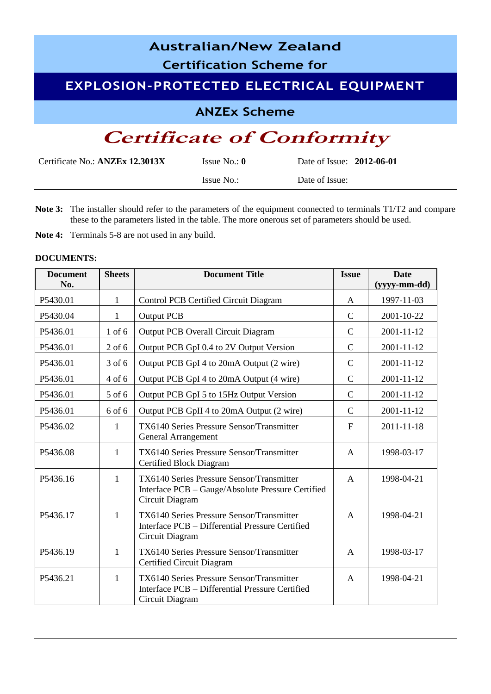# **Australian/New Zealand Certification Scheme for EXPLOSION-PROTECTED ELECTRICAL EQUIPMENT ANZEx Scheme Certificate of Conformity**

| Certificate No.: <b>ANZEx 12.3013X</b> | Issue No.: $\mathbf{0}$ | Date of Issue: 2012-06-01 |
|----------------------------------------|-------------------------|---------------------------|
|                                        | Issue No.:              | Date of Issue:            |

- **Note 3:** The installer should refer to the parameters of the equipment connected to terminals T1/T2 and compare these to the parameters listed in the table. The more onerous set of parameters should be used.
- **Note 4:** Terminals 5-8 are not used in any build.

### **DOCUMENTS:**

| <b>Document</b><br>No. | <b>Sheets</b> | <b>Document Title</b>                                                                                             | <b>Issue</b>   | <b>Date</b><br>(yyyy-mm-dd) |
|------------------------|---------------|-------------------------------------------------------------------------------------------------------------------|----------------|-----------------------------|
| P5430.01               | $\mathbf{1}$  | Control PCB Certified Circuit Diagram                                                                             | A              | 1997-11-03                  |
| P5430.04               | $\mathbf{1}$  | <b>Output PCB</b>                                                                                                 | $\overline{C}$ | 2001-10-22                  |
| P5436.01               | $1$ of $6$    | <b>Output PCB Overall Circuit Diagram</b>                                                                         | $\mathcal{C}$  | 2001-11-12                  |
| P5436.01               | $2$ of 6      | Output PCB GpI 0.4 to 2V Output Version                                                                           | $\mathcal{C}$  | 2001-11-12                  |
| P5436.01               | 3 of 6        | Output PCB GpI 4 to 20mA Output (2 wire)                                                                          | $\mathcal{C}$  | 2001-11-12                  |
| P5436.01               | 4 of 6        | Output PCB GpI 4 to 20mA Output (4 wire)                                                                          | $\mathcal{C}$  | 2001-11-12                  |
| P5436.01               | 5 of 6        | Output PCB GpI 5 to 15Hz Output Version                                                                           | $\mathcal{C}$  | 2001-11-12                  |
| P5436.01               | 6 of 6        | Output PCB GpII 4 to 20mA Output (2 wire)                                                                         | $\mathcal{C}$  | 2001-11-12                  |
| P5436.02               | $\mathbf{1}$  | TX6140 Series Pressure Sensor/Transmitter<br><b>General Arrangement</b>                                           | $\mathbf{F}$   | 2011-11-18                  |
| P5436.08               | $\mathbf{1}$  | TX6140 Series Pressure Sensor/Transmitter<br><b>Certified Block Diagram</b>                                       | $\mathbf{A}$   | 1998-03-17                  |
| P5436.16               | $\mathbf{1}$  | TX6140 Series Pressure Sensor/Transmitter<br>Interface PCB - Gauge/Absolute Pressure Certified<br>Circuit Diagram | $\mathbf{A}$   | 1998-04-21                  |
| P5436.17               | $\mathbf{1}$  | TX6140 Series Pressure Sensor/Transmitter<br>Interface PCB - Differential Pressure Certified<br>Circuit Diagram   | $\overline{A}$ | 1998-04-21                  |
| P5436.19               | $\mathbf{1}$  | TX6140 Series Pressure Sensor/Transmitter<br>Certified Circuit Diagram                                            | $\mathsf{A}$   | 1998-03-17                  |
| P5436.21               | $\mathbf{1}$  | TX6140 Series Pressure Sensor/Transmitter<br>Interface PCB - Differential Pressure Certified<br>Circuit Diagram   | $\mathsf{A}$   | 1998-04-21                  |